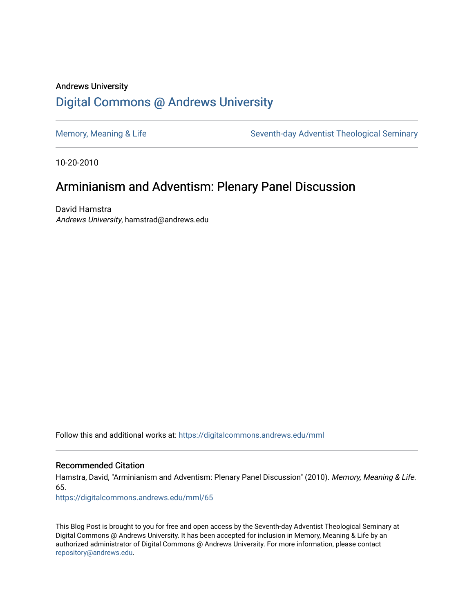## Andrews University [Digital Commons @ Andrews University](https://digitalcommons.andrews.edu/)

[Memory, Meaning & Life](https://digitalcommons.andrews.edu/mml) Seventh-day Adventist Theological Seminary

10-20-2010

# Arminianism and Adventism: Plenary Panel Discussion

David Hamstra Andrews University, hamstrad@andrews.edu

Follow this and additional works at: [https://digitalcommons.andrews.edu/mml](https://digitalcommons.andrews.edu/mml?utm_source=digitalcommons.andrews.edu%2Fmml%2F65&utm_medium=PDF&utm_campaign=PDFCoverPages) 

#### Recommended Citation

Hamstra, David, "Arminianism and Adventism: Plenary Panel Discussion" (2010). Memory, Meaning & Life. 65.

[https://digitalcommons.andrews.edu/mml/65](https://digitalcommons.andrews.edu/mml/65?utm_source=digitalcommons.andrews.edu%2Fmml%2F65&utm_medium=PDF&utm_campaign=PDFCoverPages)

This Blog Post is brought to you for free and open access by the Seventh-day Adventist Theological Seminary at Digital Commons @ Andrews University. It has been accepted for inclusion in Memory, Meaning & Life by an authorized administrator of Digital Commons @ Andrews University. For more information, please contact [repository@andrews.edu](mailto:repository@andrews.edu).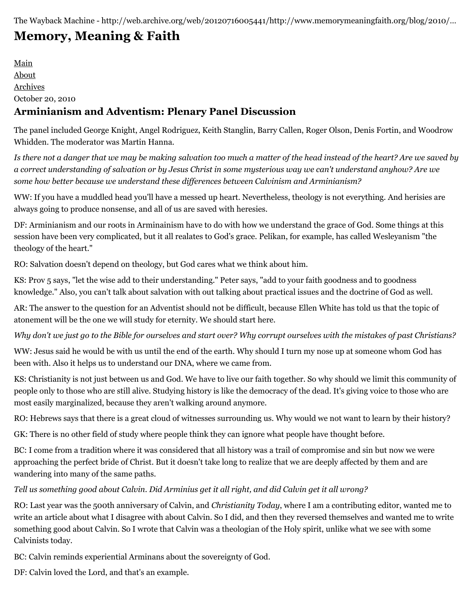The Wayback Machine - http://web.archive.org/web/20120716005441/http://www.memorymeaningfaith.org/blog/2010/…

# **[Memory, Meaning & Faith](http://web.archive.org/web/20120716005441/http://www.memorymeaningfaith.org/blog/)**

[Main](http://web.archive.org/web/20120716005441/http://www.memorymeaningfaith.org/blog) [About](http://web.archive.org/web/20120716005441/http://www.memorymeaningfaith.org/blog/about.html) [Archives](http://web.archive.org/web/20120716005441/http://www.memorymeaningfaith.org/blog/archives.html) October 20, 2010 **Arminianism and Adventism: Plenary Panel Discussion**

The panel included George Knight, Angel Rodriguez, Keith Stanglin, Barry Callen, Roger Olson, Denis Fortin, and Woodrow Whidden. The moderator was Martin Hanna.

*Is there not a danger that we may be making salvation too much a matter of the head instead of the heart? Are we saved by a correct understanding of salvation or by Jesus Christ in some mysterious way we can't understand anyhow? Are we some how better because we understand these differences between Calvinism and Arminianism?*

WW: If you have a muddled head you'll have a messed up heart. Nevertheless, theology is not everything. And herisies are always going to produce nonsense, and all of us are saved with heresies.

DF: Arminianism and our roots in Arminainism have to do with how we understand the grace of God. Some things at this session have been very complicated, but it all realates to God's grace. Pelikan, for example, has called Wesleyanism "the theology of the heart."

RO: Salvation doesn't depend on theology, but God cares what we think about him.

KS: Prov 5 says, "let the wise add to their understanding." Peter says, "add to your faith goodness and to goodness knowledge." Also, you can't talk about salvation with out talking about practical issues and the doctrine of God as well.

AR: The answer to the question for an Adventist should not be difficult, because Ellen White has told us that the topic of atonement will be the one we will study for eternity. We should start here.

*Why don't we just go to the Bible for ourselves and start over? Why corrupt ourselves with the mistakes of past Christians?*

WW: Jesus said he would be with us until the end of the earth. Why should I turn my nose up at someone whom God has been with. Also it helps us to understand our DNA, where we came from.

KS: Christianity is not just between us and God. We have to live our faith together. So why should we limit this community of people only to those who are still alive. Studying history is like the democracy of the dead. It's giving voice to those who are most easily marginalized, because they aren't walking around anymore.

RO: Hebrews says that there is a great cloud of witnesses surrounding us. Why would we not want to learn by their history?

GK: There is no other field of study where people think they can ignore what people have thought before.

BC: I come from a tradition where it was considered that all history was a trail of compromise and sin but now we were approaching the perfect bride of Christ. But it doesn't take long to realize that we are deeply affected by them and are wandering into many of the same paths.

### *Tell us something good about Calvin. Did Arminius get it all right, and did Calvin get it all wrong?*

RO: Last year was the 500th anniversary of Calvin, and *Christianity Today*, where I am a contributing editor, wanted me to write an article about what I disagree with about Calvin. So I did, and then they reversed themselves and wanted me to write something good about Calvin. So I wrote that Calvin was a theologian of the Holy spirit, unlike what we see with some Calvinists today.

BC: Calvin reminds experiential Arminans about the sovereignty of God.

DF: Calvin loved the Lord, and that's an example.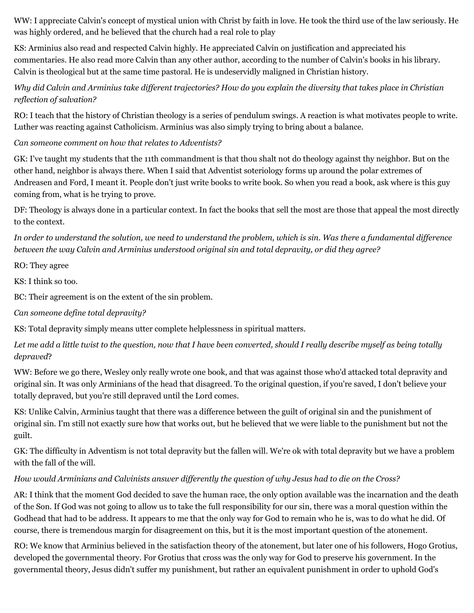WW: I appreciate Calvin's concept of mystical union with Christ by faith in love. He took the third use of the law seriously. He was highly ordered, and he believed that the church had a real role to play

KS: Arminius also read and respected Calvin highly. He appreciated Calvin on justification and appreciated his commentaries. He also read more Calvin than any other author, according to the number of Calvin's books in his library. Calvin is theological but at the same time pastoral. He is undeservidly maligned in Christian history.

### *Why did Calvin and Arminius take different trajectories? How do you explain the diversity that takes place in Christian reflection of salvation?*

RO: I teach that the history of Christian theology is a series of pendulum swings. A reaction is what motivates people to write. Luther was reacting against Catholicism. Arminius was also simply trying to bring about a balance.

#### *Can someone comment on how that relates to Adventists?*

GK: I've taught my students that the 11th commandment is that thou shalt not do theology against thy neighbor. But on the other hand, neighbor is always there. When I said that Adventist soteriology forms up around the polar extremes of Andreasen and Ford, I meant it. People don't just write books to write book. So when you read a book, ask where is this guy coming from, what is he trying to prove.

DF: Theology is always done in a particular context. In fact the books that sell the most are those that appeal the most directly to the context.

*In order to understand the solution, we need to understand the problem, which is sin. Was there a fundamental difference between the way Calvin and Arminius understood original sin and total depravity, or did they agree?*

RO: They agree

KS: I think so too.

BC: Their agreement is on the extent of the sin problem.

*Can someone define total depravity?*

KS: Total depravity simply means utter complete helplessness in spiritual matters.

*Let me add a little twist to the question, now that I have been converted, should I really describe myself as being totally depraved*?

WW: Before we go there, Wesley only really wrote one book, and that was against those who'd attacked total depravity and original sin. It was only Arminians of the head that disagreed. To the original question, if you're saved, I don't believe your totally depraved, but you're still depraved until the Lord comes.

KS: Unlike Calvin, Arminius taught that there was a difference between the guilt of original sin and the punishment of original sin. I'm still not exactly sure how that works out, but he believed that we were liable to the punishment but not the guilt.

GK: The difficulty in Adventism is not total depravity but the fallen will. We're ok with total depravity but we have a problem with the fall of the will.

### *How would Arminians and Calvinists answer differently the question of why Jesus had to die on the Cross?*

AR: I think that the moment God decided to save the human race, the only option available was the incarnation and the death of the Son. If God was not going to allow us to take the full responsibility for our sin, there was a moral question within the Godhead that had to be address. It appears to me that the only way for God to remain who he is, was to do what he did. Of course, there is tremendous margin for disagreement on this, but it is the most important question of the atonement.

RO: We know that Arminius believed in the satisfaction theory of the atonement, but later one of his followers, Hogo Grotius, developed the governmental theory. For Grotius that cross was the only way for God to preserve his government. In the governmental theory, Jesus didn't suffer my punishment, but rather an equivalent punishment in order to uphold God's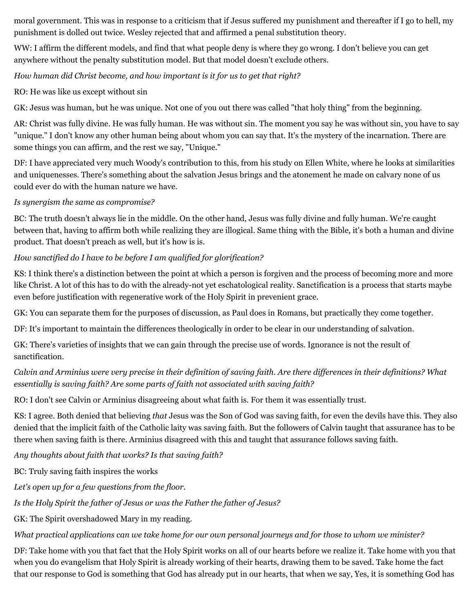moral government. This was in response to a criticism that if Jesus suffered my punishment and thereafter if I go to hell, my punishment is dolled out twice. Wesley rejected that and affirmed a penal substitution theory.

WW: I affirm the different models, and find that what people deny is where they go wrong. I don't believe you can get anywhere without the penalty substitution model. But that model doesn't exclude others.

#### *How human did Christ become, and how important is it for us to get that right?*

RO: He was like us except without sin

GK: Jesus was human, but he was unique. Not one of you out there was called "that holy thing" from the beginning.

AR: Christ was fully divine. He was fully human. He was without sin. The moment you say he was without sin, you have to say "unique." I don't know any other human being about whom you can say that. It's the mystery of the incarnation. There are some things you can affirm, and the rest we say, "Unique."

DF: I have appreciated very much Woody's contribution to this, from his study on Ellen White, where he looks at similarities and uniquenesses. There's something about the salvation Jesus brings and the atonement he made on calvary none of us could ever do with the human nature we have.

#### *Is synergism the same as compromise?*

BC: The truth doesn't always lie in the middle. On the other hand, Jesus was fully divine and fully human. We're caught between that, having to affirm both while realizing they are illogical. Same thing with the Bible, it's both a human and divine product. That doesn't preach as well, but it's how is is.

### *How sanctified do I have to be before I am qualified for glorification?*

KS: I think there's a distinction between the point at which a person is forgiven and the process of becoming more and more like Christ. A lot of this has to do with the already-not yet eschatological reality. Sanctification is a process that starts maybe even before justification with regenerative work of the Holy Spirit in prevenient grace.

GK: You can separate them for the purposes of discussion, as Paul does in Romans, but practically they come together.

DF: It's important to maintain the differences theologically in order to be clear in our understanding of salvation.

GK: There's varieties of insights that we can gain through the precise use of words. Ignorance is not the result of sanctification.

## *Calvin and Arminius were very precise in their definition of saving faith. Are there differences in their definitions? What essentially is saving faith? Are some parts of faith not associated with saving faith?*

RO: I don't see Calvin or Arminius disagreeing about what faith is. For them it was essentially trust.

KS: I agree. Both denied that believing *that* Jesus was the Son of God was saving faith, for even the devils have this. They also denied that the implicit faith of the Catholic laity was saving faith. But the followers of Calvin taught that assurance has to be there when saving faith is there. Arminius disagreed with this and taught that assurance follows saving faith.

*Any thoughts about faith that works? Is that saving faith?*

BC: Truly saving faith inspires the works

*Let's open up for a few questions from the floor.*

*Is the Holy Spirit the father of Jesus or was the Father the father of Jesus?*

GK: The Spirit overshadowed Mary in my reading.

*What practical applications can we take home for our own personal journeys and for those to whom we minister?*

DF: Take home with you that fact that the Holy Spirit works on all of our hearts before we realize it. Take home with you that when you do evangelism that Holy Spirit is already working of their hearts, drawing them to be saved. Take home the fact that our response to God is something that God has already put in our hearts, that when we say, Yes, it is something God has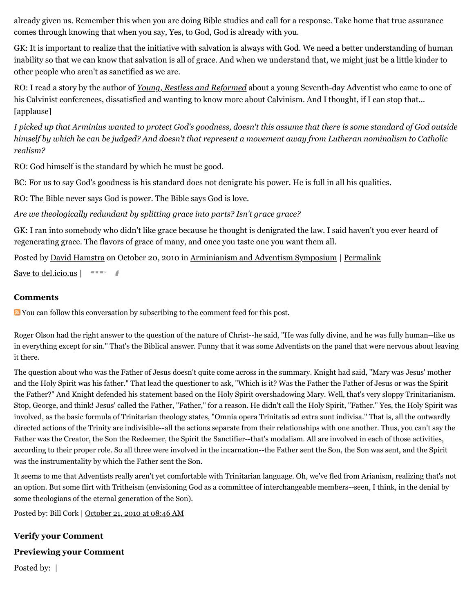already given us. Remember this when you are doing Bible studies and call for a response. Take home that true assurance comes through knowing that when you say, Yes, to God, God is already with you.

GK: It is important to realize that the initiative with salvation is always with God. We need a better understanding of human inability so that we can know that salvation is all of grace. And when we understand that, we might just be a little kinder to other people who aren't as sanctified as we are.

RO: I read a story by the author of *[Young, Restless and Reformed](http://web.archive.org/web/20120716005441/http://www.amazon.com/Young-Restless-Reformed-Journalists-Calvinists/dp/1581349408)* about a young Seventh-day Adventist who came to one of his Calvinist conferences, dissatisfied and wanting to know more about Calvinism. And I thought, if I can stop that... [applause]

*I picked up that Arminius wanted to protect God's goodness, doesn't this assume that there is some standard of God outside himself by which he can be judged? And doesn't that represent a movement away from Lutheran nominalism to Catholic realism?*

RO: God himself is the standard by which he must be good.

BC: For us to say God's goodness is his standard does not denigrate his power. He is full in all his qualities.

RO: The Bible never says God is power. The Bible says God is love.

*Are we theologically redundant by splitting grace into parts? Isn't grace grace?*

GK: I ran into somebody who didn't like grace because he thought is denigrated the law. I said haven't you ever heard of regenerating grace. The flavors of grace of many, and once you taste one you want them all.

Posted by [David Hamstra](http://web.archive.org/web/20120716005441/http://profile.typepad.com/davidhamstra) on October 20, 2010 in [Arminianism and Adventism Symposium](http://web.archive.org/web/20120716005441/http://www.memorymeaningfaith.org/blog/arminianism-and-adventism-symposium/) | [Permalink](http://web.archive.org/web/20120716005441/http://www.memorymeaningfaith.org/blog/2010/10/arminianism-adventism-panel-discussion.html)

[Save to del.icio.us](http://web.archive.org/web/20120716005441/http://del.icio.us/post)  $\vert \quad \text{---}$ 

#### **Comments**

You can follow this conversation by subscribing to the [comment feed](http://web.archive.org/web/20120716005441/http://www.memorymeaningfaith.org/blog/2010/10/arminianism-adventism-panel-discussion/comments/atom.xml) for this post.

Roger Olson had the right answer to the question of the nature of Christ--he said, "He was fully divine, and he was fully human--like us in everything except for sin." That's the Biblical answer. Funny that it was some Adventists on the panel that were nervous about leaving it there.

The question about who was the Father of Jesus doesn't quite come across in the summary. Knight had said, "Mary was Jesus' mother and the Holy Spirit was his father." That lead the questioner to ask, "Which is it? Was the Father the Father of Jesus or was the Spirit the Father?" And Knight defended his statement based on the Holy Spirit overshadowing Mary. Well, that's very sloppy Trinitarianism. Stop, George, and think! Jesus' called the Father, "Father," for a reason. He didn't call the Holy Spirit, "Father." Yes, the Holy Spirit was involved, as the basic formula of Trinitarian theology states, "Omnia opera Trinitatis ad extra sunt indivisa." That is, all the outwardly directed actions of the Trinity are indivisible--all the actions separate from their relationships with one another. Thus, you can't say the Father was the Creator, the Son the Redeemer, the Spirit the Sanctifier--that's modalism. All are involved in each of those activities, according to their proper role. So all three were involved in the incarnation--the Father sent the Son, the Son was sent, and the Spirit was the instrumentality by which the Father sent the Son.

It seems to me that Adventists really aren't yet comfortable with Trinitarian language. Oh, we've fled from Arianism, realizing that's not an option. But some flirt with Tritheism (envisioning God as a committee of interchangeable members--seen, I think, in the denial by some theologians of the eternal generation of the Son).

Posted by: Bill Cork | [October 21, 2010 at 08:46 AM](http://web.archive.org/web/20120716005441/http://www.memorymeaningfaith.org/blog/2010/10/arminianism-adventism-panel-discussion.html?cid=6a01287656f488970c0134885cbdc9970c#comment-6a01287656f488970c0134885cbdc9970c)

**Verify your Comment Previewing your Comment** Posted by: |